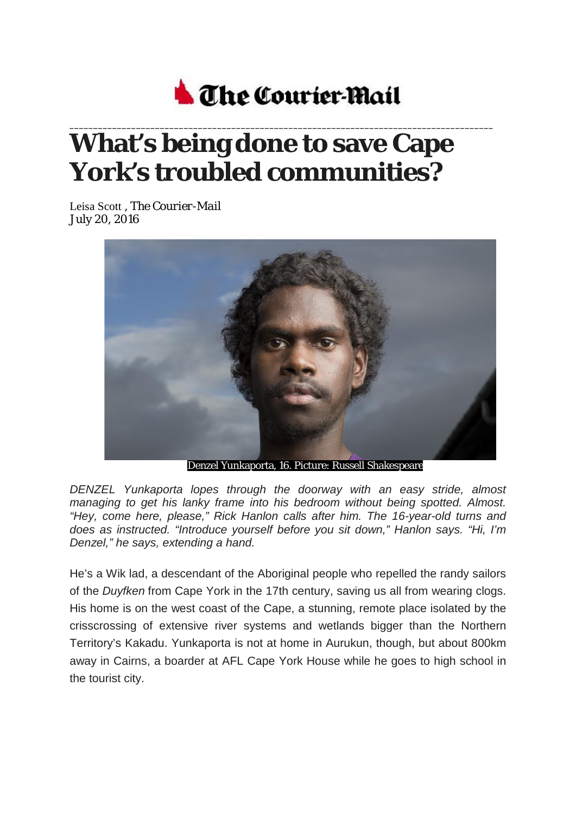

## **\_\_\_\_\_\_\_\_\_\_\_\_\_\_\_\_\_\_\_\_\_\_\_\_\_\_\_\_\_\_\_\_\_\_\_\_\_\_\_\_\_\_\_\_\_\_\_\_\_\_\_\_\_\_\_\_\_\_\_\_\_\_\_\_\_\_\_\_\_\_\_\_\_\_\_\_\_\_\_\_\_\_\_\_\_\_\_\_\_ What's being done to save Cape York's troubled communities?**

Leisa Scott , *The Courier-Mail* July 20, 2016



Denzel Yunkaporta, 16. Picture: Russell Shakespeare

*DENZEL Yunkaporta lopes through the doorway with an easy stride, almost managing to get his lanky frame into his bedroom without being spotted. Almost. "Hey, come here, please," Rick Hanlon calls after him. The 16-year-old turns and does as instructed. "Introduce yourself before you sit down," Hanlon says. "Hi, I'm Denzel," he says, extending a hand.*

He's a Wik lad, a descendant of the Aboriginal people who repelled the randy sailors of the *Duyfken* from Cape York in the 17th century, saving us all from wearing clogs. His home is on the west coast of the Cape, a stunning, remote place isolated by the crisscrossing of extensive river systems and wetlands bigger than the Northern Territory's Kakadu. Yunkaporta is not at home in Aurukun, though, but about 800km away in Cairns, a boarder at AFL Cape York House while he goes to high school in the tourist city.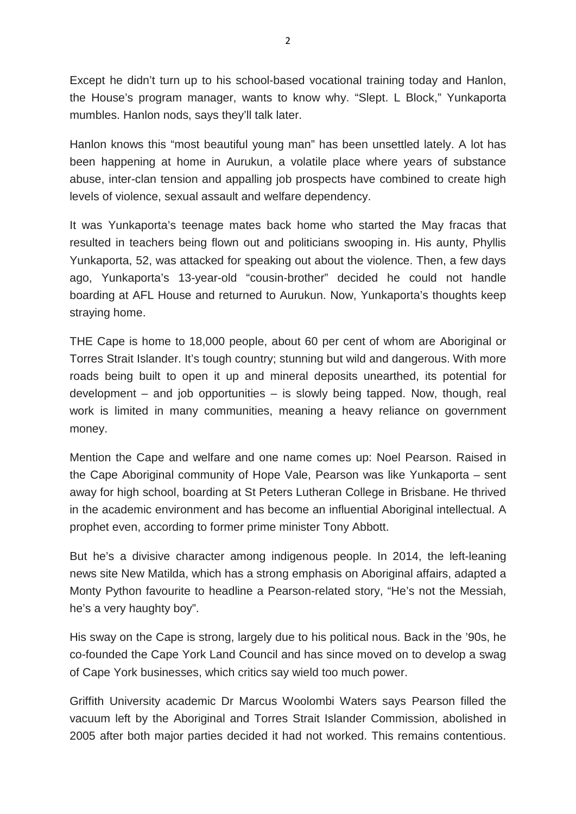Except he didn't turn up to his school-based vocational training today and Hanlon, the House's program manager, wants to know why. "Slept. L Block," Yunkaporta mumbles. Hanlon nods, says they'll talk later.

Hanlon knows this "most beautiful young man" has been unsettled lately. A lot has been happening at home in Aurukun, a volatile place where years of substance abuse, inter-clan tension and appalling job prospects have combined to create high levels of violence, sexual assault and welfare dependency.

It was Yunkaporta's teenage mates back home who started the May fracas that resulted in teachers being flown out and politicians swooping in. His aunty, Phyllis Yunkaporta, 52, was attacked for speaking out about the violence. Then, a few days ago, Yunkaporta's 13-year-old "cousin-brother" decided he could not handle boarding at AFL House and returned to Aurukun. Now, Yunkaporta's thoughts keep straying home.

THE Cape is home to 18,000 people, about 60 per cent of whom are Aboriginal or Torres Strait Islander. It's tough country; stunning but wild and dangerous. With more roads being built to open it up and mineral deposits unearthed, its potential for development – and job opportunities – is slowly being tapped. Now, though, real work is limited in many communities, meaning a heavy reliance on government money.

Mention the Cape and welfare and one name comes up: Noel Pearson. Raised in the Cape Aboriginal community of Hope Vale, Pearson was like Yunkaporta – sent away for high school, boarding at St Peters Lutheran College in Brisbane. He thrived in the academic environment and has become an influential Aboriginal intellectual. A prophet even, according to former prime minister Tony Abbott.

But he's a divisive character among indigenous people. In 2014, the left-leaning news site New Matilda, which has a strong emphasis on Aboriginal affairs, adapted a Monty Python favourite to headline a Pearson-related story, "He's not the Messiah, he's a very haughty boy".

His sway on the Cape is strong, largely due to his political nous. Back in the '90s, he co-founded the Cape York Land Council and has since moved on to develop a swag of Cape York businesses, which critics say wield too much power.

Griffith University academic Dr Marcus Woolombi Waters says Pearson filled the vacuum left by the Aboriginal and Torres Strait Islander Commission, abolished in 2005 after both major parties decided it had not worked. This remains contentious.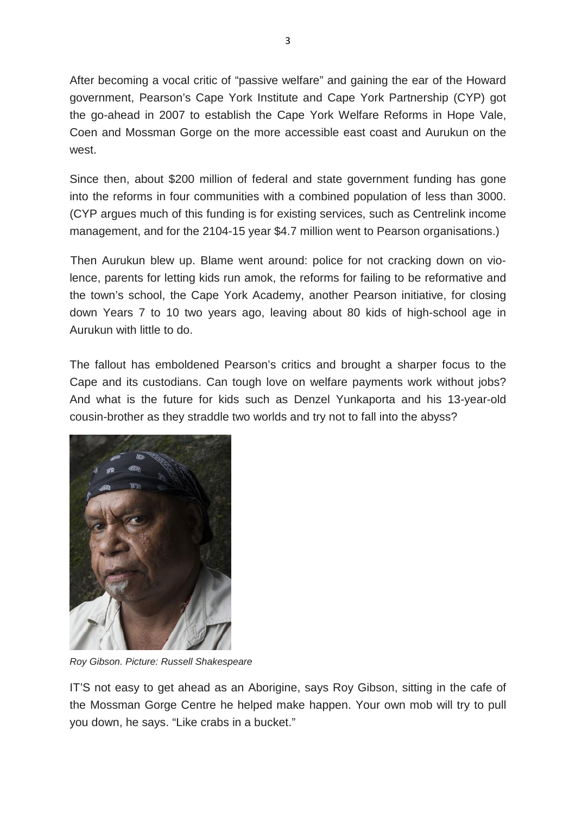After becoming a vocal critic of "passive welfare" and gaining the ear of the Howard government, Pearson's Cape York Institute and Cape York Partnership (CYP) got the go-ahead in 2007 to establish the Cape York Welfare Reforms in Hope Vale, Coen and Mossman Gorge on the more accessible east coast and Aurukun on the west.

Since then, about \$200 million of federal and state government funding has gone into the reforms in four communities with a combined population of less than 3000. (CYP argues much of this funding is for existing services, such as Centrelink income management, and for the 2104-15 year \$4.7 million went to Pearson organisations.)

Then Aurukun blew up. Blame went around: police for not cracking down on violence, parents for letting kids run amok, the reforms for failing to be reformative and the town's school, the Cape York Academy, another Pearson initiative, for closing down Years 7 to 10 two years ago, leaving about 80 kids of high-school age in Aurukun with little to do.

The fallout has emboldened Pearson's critics and brought a sharper focus to the Cape and its custodians. Can tough love on welfare payments work without jobs? And what is the future for kids such as Denzel Yunkaporta and his 13-year-old cousin-brother as they straddle two worlds and try not to fall into the abyss?



*Roy Gibson. Picture: Russell Shakespeare*

IT'S not easy to get ahead as an Aborigine, says Roy Gibson, sitting in the cafe of the Mossman Gorge Centre he helped make happen. Your own mob will try to pull you down, he says. "Like crabs in a bucket."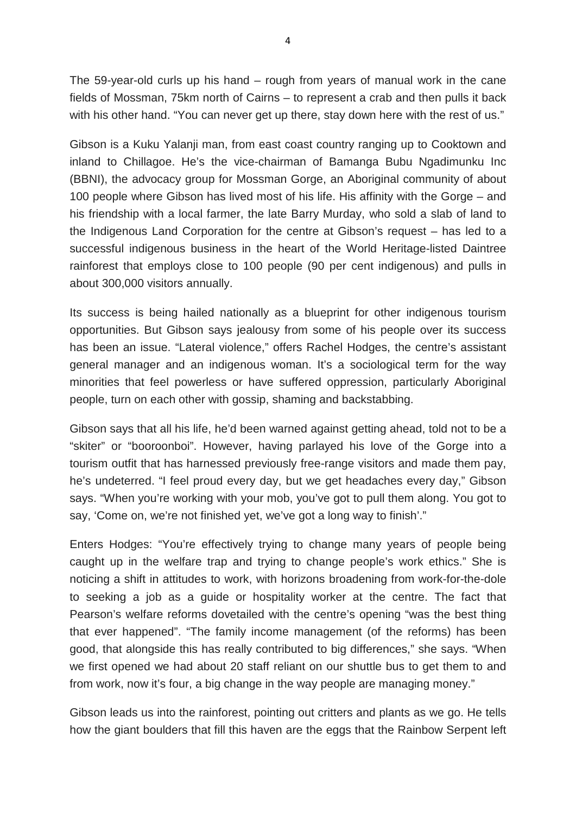The 59-year-old curls up his hand – rough from years of manual work in the cane fields of Mossman, 75km north of Cairns – to represent a crab and then pulls it back with his other hand. "You can never get up there, stay down here with the rest of us."

Gibson is a Kuku Yalanji man, from east coast country ranging up to Cooktown and inland to Chillagoe. He's the vice-chairman of Bamanga Bubu Ngadimunku Inc (BBNI), the advocacy group for Mossman Gorge, an Aboriginal community of about 100 people where Gibson has lived most of his life. His affinity with the Gorge – and his friendship with a local farmer, the late Barry Murday, who sold a slab of land to the Indigenous Land Corporation for the centre at Gibson's request – has led to a successful indigenous business in the heart of the World Heritage-listed Daintree rainforest that employs close to 100 people (90 per cent indigenous) and pulls in about 300,000 visitors annually.

Its success is being hailed nationally as a blueprint for other indigenous tourism opportunities. But Gibson says jealousy from some of his people over its success has been an issue. "Lateral violence," offers Rachel Hodges, the centre's assistant general manager and an indigenous woman. It's a sociological term for the way minorities that feel powerless or have suffered oppression, particularly Aboriginal people, turn on each other with gossip, shaming and backstabbing.

Gibson says that all his life, he'd been warned against getting ahead, told not to be a "skiter" or "booroonboi". However, having parlayed his love of the Gorge into a tourism outfit that has harnessed previously free-range visitors and made them pay, he's undeterred. "I feel proud every day, but we get headaches every day," Gibson says. "When you're working with your mob, you've got to pull them along. You got to say, 'Come on, we're not finished yet, we've got a long way to finish'."

Enters Hodges: "You're effectively trying to change many years of people being caught up in the welfare trap and trying to change people's work ethics." She is noticing a shift in attitudes to work, with horizons broadening from work-for-the-dole to seeking a job as a guide or hospitality worker at the centre. The fact that Pearson's welfare reforms dovetailed with the centre's opening "was the best thing that ever happened". "The family income management (of the reforms) has been good, that alongside this has really contributed to big differences," she says. "When we first opened we had about 20 staff reliant on our shuttle bus to get them to and from work, now it's four, a big change in the way people are managing money."

Gibson leads us into the rainforest, pointing out critters and plants as we go. He tells how the giant boulders that fill this haven are the eggs that the Rainbow Serpent left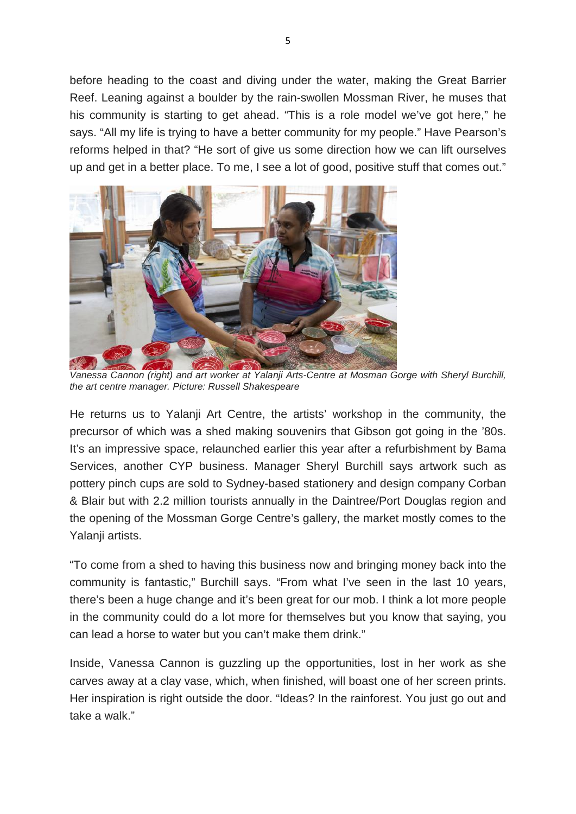before heading to the coast and diving under the water, making the Great Barrier Reef. Leaning against a boulder by the rain-swollen Mossman River, he muses that his community is starting to get ahead. "This is a role model we've got here," he says. "All my life is trying to have a better community for my people." Have Pearson's reforms helped in that? "He sort of give us some direction how we can lift ourselves up and get in a better place. To me, I see a lot of good, positive stuff that comes out."



*Vanessa Cannon (right) and art worker at Yalanji Arts-Centre at Mosman Gorge with Sheryl Burchill, the art centre manager. Picture: Russell Shakespeare*

He returns us to Yalanji Art Centre, the artists' workshop in the community, the precursor of which was a shed making souvenirs that Gibson got going in the '80s. It's an impressive space, relaunched earlier this year after a refurbishment by Bama Services, another CYP business. Manager Sheryl Burchill says artwork such as pottery pinch cups are sold to Sydney-based stationery and design company Corban & Blair but with 2.2 million tourists annually in the Daintree/Port Douglas region and the opening of the Mossman Gorge Centre's gallery, the market mostly comes to the Yalanji artists.

"To come from a shed to having this business now and bringing money back into the community is fantastic," Burchill says. "From what I've seen in the last 10 years, there's been a huge change and it's been great for our mob. I think a lot more people in the community could do a lot more for themselves but you know that saying, you can lead a horse to water but you can't make them drink."

Inside, Vanessa Cannon is guzzling up the opportunities, lost in her work as she carves away at a clay vase, which, when finished, will boast one of her screen prints. Her inspiration is right outside the door. "Ideas? In the rainforest. You just go out and take a walk."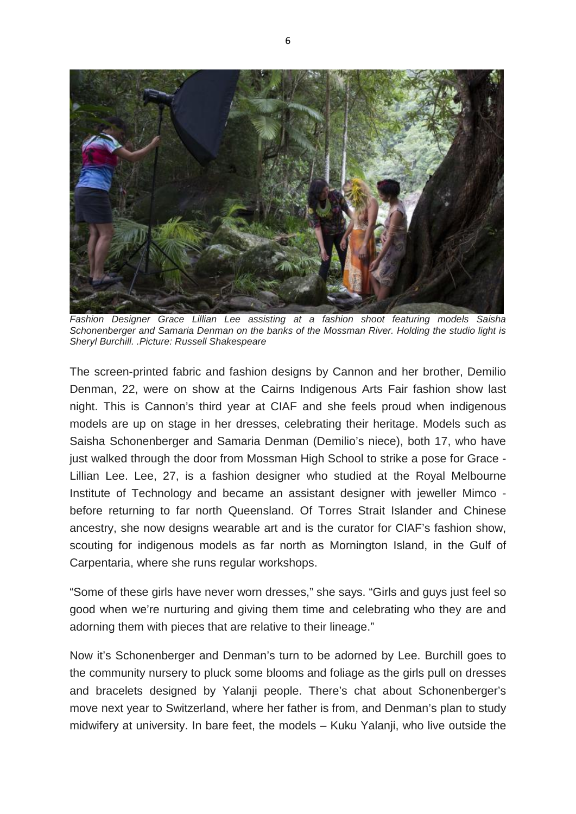

*Fashion Designer Grace Lillian Lee assisting at a fashion shoot featuring models Saisha Schonenberger and Samaria Denman on the banks of the Mossman River. Holding the studio light is Sheryl Burchill. .Picture: Russell Shakespeare*

The screen-printed fabric and fashion designs by Cannon and her brother, Demilio Denman, 22, were on show at the Cairns Indigenous Arts Fair fashion show last night. This is Cannon's third year at CIAF and she feels proud when indigenous models are up on stage in her dresses, celebrating their heritage. Models such as Saisha Schonenberger and Samaria Denman (Demilio's niece), both 17, who have just walked through the door from Mossman High School to strike a pose for Grace - Lillian Lee. Lee, 27, is a fashion designer who studied at the Royal Melbourne Institute of Technology and became an assistant designer with jeweller Mimco before returning to far north Queensland. Of Torres Strait Islander and Chinese ancestry, she now designs wearable art and is the curator for CIAF's fashion show, scouting for indigenous models as far north as Mornington Island, in the Gulf of Carpentaria, where she runs regular workshops.

"Some of these girls have never worn dresses," she says. "Girls and guys just feel so good when we're nurturing and giving them time and celebrating who they are and adorning them with pieces that are relative to their lineage."

Now it's Schonenberger and Denman's turn to be adorned by Lee. Burchill goes to the community nursery to pluck some blooms and foliage as the girls pull on dresses and bracelets designed by Yalanji people. There's chat about Schonenberger's move next year to Switzerland, where her father is from, and Denman's plan to study midwifery at university. In bare feet, the models – Kuku Yalanji, who live outside the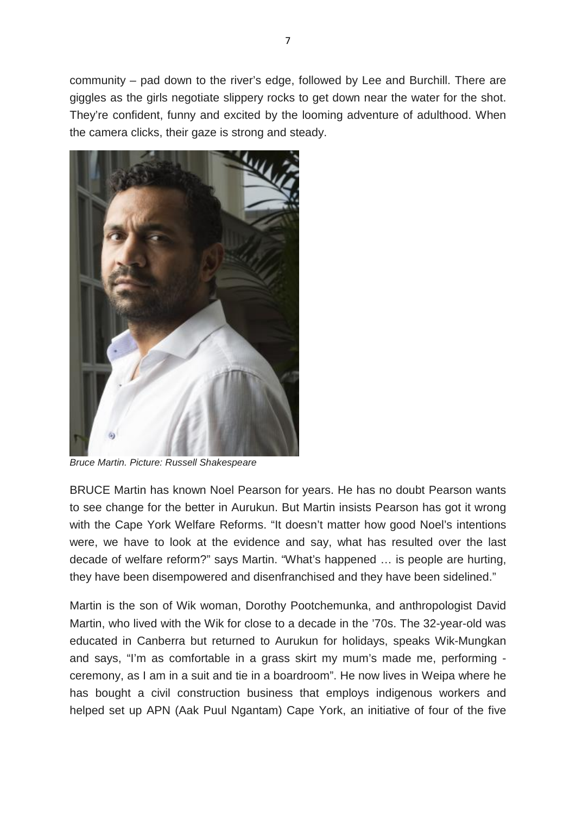community – pad down to the river's edge, followed by Lee and Burchill. There are giggles as the girls negotiate slippery rocks to get down near the water for the shot. They're confident, funny and excited by the looming adventure of adulthood. When the camera clicks, their gaze is strong and steady.



*Bruce Martin. Picture: Russell Shakespeare*

BRUCE Martin has known Noel Pearson for years. He has no doubt Pearson wants to see change for the better in Aurukun. But Martin insists Pearson has got it wrong with the Cape York Welfare Reforms. "It doesn't matter how good Noel's intentions were, we have to look at the evidence and say, what has resulted over the last decade of welfare reform?" says Martin. "What's happened … is people are hurting, they have been disempowered and disenfranchised and they have been sidelined."

Martin is the son of Wik woman, Dorothy Pootchemunka, and anthropologist David Martin, who lived with the Wik for close to a decade in the '70s. The 32-year-old was educated in Canberra but returned to Aurukun for holidays, speaks Wik-Mungkan and says, "I'm as comfortable in a grass skirt my mum's made me, performing ceremony, as I am in a suit and tie in a boardroom". He now lives in Weipa where he has bought a civil construction business that employs indigenous workers and helped set up APN (Aak Puul Ngantam) Cape York, an initiative of four of the five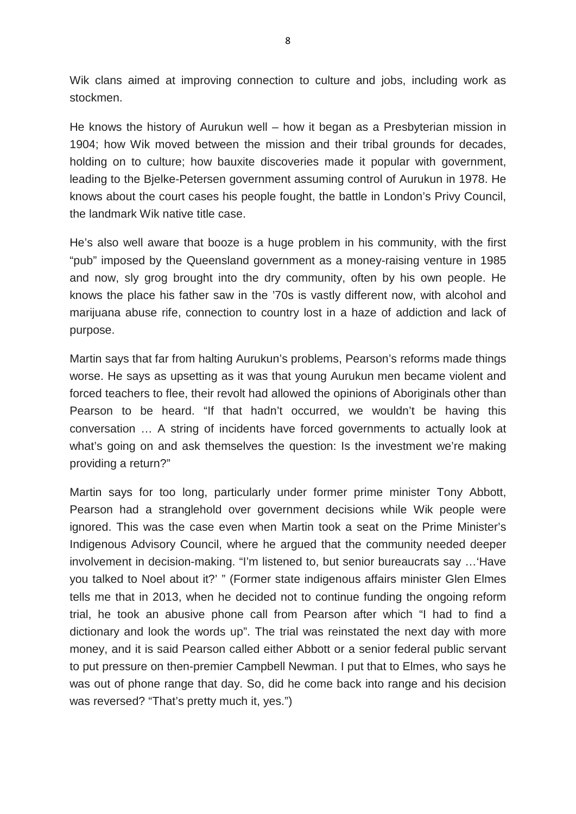Wik clans aimed at improving connection to culture and jobs, including work as stockmen.

He knows the history of Aurukun well – how it began as a Presbyterian mission in 1904; how Wik moved between the mission and their tribal grounds for decades, holding on to culture; how bauxite discoveries made it popular with government, leading to the Bjelke-Petersen government assuming control of Aurukun in 1978. He knows about the court cases his people fought, the battle in London's Privy Council, the landmark Wik native title case.

He's also well aware that booze is a huge problem in his community, with the first "pub" imposed by the Queensland government as a money-raising venture in 1985 and now, sly grog brought into the dry community, often by his own people. He knows the place his father saw in the '70s is vastly different now, with alcohol and marijuana abuse rife, connection to country lost in a haze of addiction and lack of purpose.

Martin says that far from halting Aurukun's problems, Pearson's reforms made things worse. He says as upsetting as it was that young Aurukun men became violent and forced teachers to flee, their revolt had allowed the opinions of Aboriginals other than Pearson to be heard. "If that hadn't occurred, we wouldn't be having this conversation … A string of incidents have forced governments to actually look at what's going on and ask themselves the question: Is the investment we're making providing a return?"

Martin says for too long, particularly under former prime minister Tony Abbott, Pearson had a stranglehold over government decisions while Wik people were ignored. This was the case even when Martin took a seat on the Prime Minister's Indigenous Advisory Council, where he argued that the community needed deeper involvement in decision-making. "I'm listened to, but senior bureaucrats say …'Have you talked to Noel about it?' " (Former state indigenous affairs minister Glen Elmes tells me that in 2013, when he decided not to continue funding the ongoing reform trial, he took an abusive phone call from Pearson after which "I had to find a dictionary and look the words up". The trial was reinstated the next day with more money, and it is said Pearson called either Abbott or a senior federal public servant to put pressure on then-premier Campbell Newman. I put that to Elmes, who says he was out of phone range that day. So, did he come back into range and his decision was reversed? "That's pretty much it, yes.")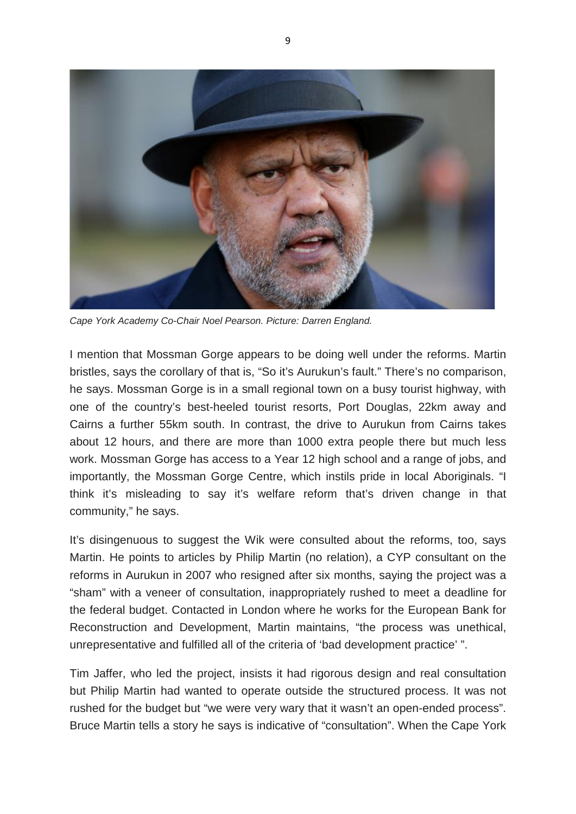

*Cape York Academy Co-Chair Noel Pearson. Picture: Darren England.*

I mention that Mossman Gorge appears to be doing well under the reforms. Martin bristles, says the corollary of that is, "So it's Aurukun's fault." There's no comparison, he says. Mossman Gorge is in a small regional town on a busy tourist highway, with one of the country's best-heeled tourist resorts, Port Douglas, 22km away and Cairns a further 55km south. In contrast, the drive to Aurukun from Cairns takes about 12 hours, and there are more than 1000 extra people there but much less work. Mossman Gorge has access to a Year 12 high school and a range of jobs, and importantly, the Mossman Gorge Centre, which instils pride in local Aboriginals. "I think it's misleading to say it's welfare reform that's driven change in that community," he says.

It's disingenuous to suggest the Wik were consulted about the reforms, too, says Martin. He points to articles by Philip Martin (no relation), a CYP consultant on the reforms in Aurukun in 2007 who resigned after six months, saying the project was a "sham" with a veneer of consultation, inappropriately rushed to meet a deadline for the federal budget. Contacted in London where he works for the European Bank for Reconstruction and Development, Martin maintains, "the process was unethical, unrepresentative and fulfilled all of the criteria of 'bad development practice' ".

Tim Jaffer, who led the project, insists it had rigorous design and real consultation but Philip Martin had wanted to operate outside the structured process. It was not rushed for the budget but "we were very wary that it wasn't an open-ended process". Bruce Martin tells a story he says is indicative of "consultation". When the Cape York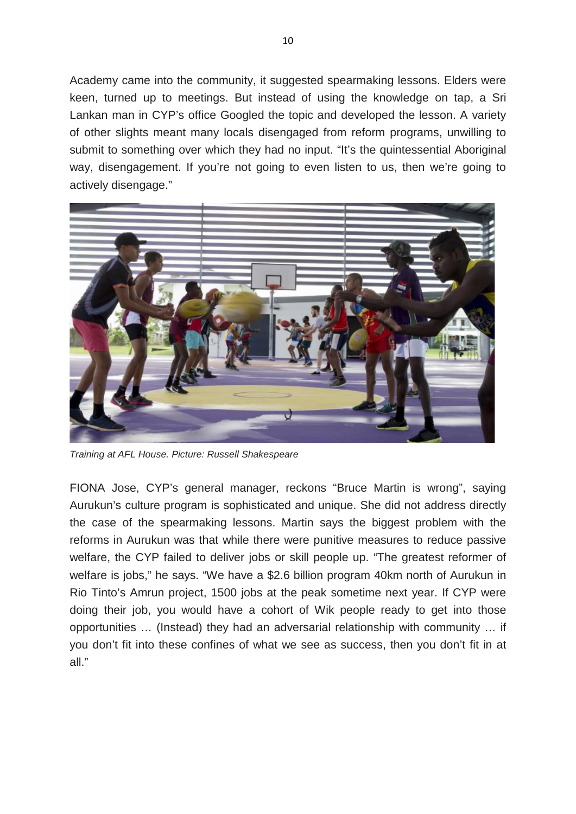Academy came into the community, it suggested spearmaking lessons. Elders were keen, turned up to meetings. But instead of using the knowledge on tap, a Sri Lankan man in CYP's office Googled the topic and developed the lesson. A variety of other slights meant many locals disengaged from reform programs, unwilling to submit to something over which they had no input. "It's the quintessential Aboriginal way, disengagement. If you're not going to even listen to us, then we're going to actively disengage."



*Training at AFL House. Picture: Russell Shakespeare*

FIONA Jose, CYP's general manager, reckons "Bruce Martin is wrong", saying Aurukun's culture program is sophisticated and unique. She did not address directly the case of the spearmaking lessons. Martin says the biggest problem with the reforms in Aurukun was that while there were punitive measures to reduce passive welfare, the CYP failed to deliver jobs or skill people up. "The greatest reformer of welfare is jobs," he says. "We have a \$2.6 billion program 40km north of Aurukun in Rio Tinto's Amrun project, 1500 jobs at the peak sometime next year. If CYP were doing their job, you would have a cohort of Wik people ready to get into those opportunities … (Instead) they had an adversarial relationship with community … if you don't fit into these confines of what we see as success, then you don't fit in at all."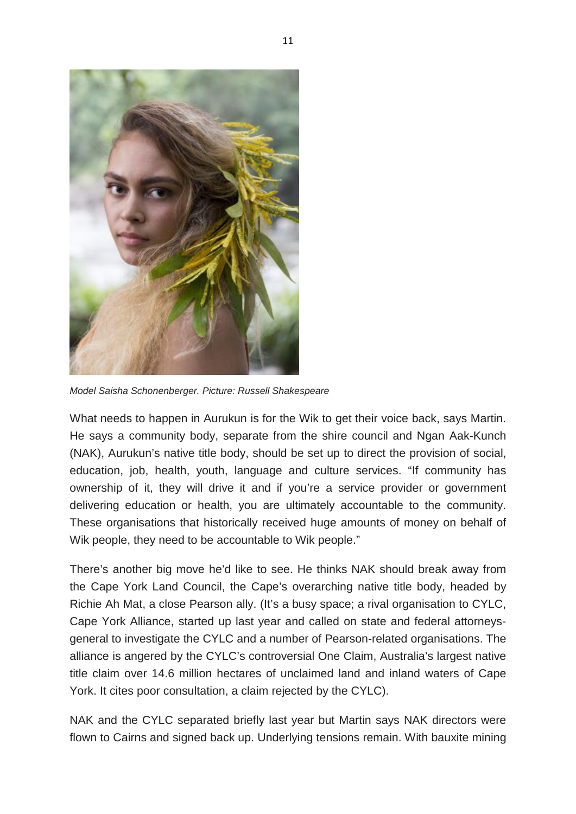

*Model Saisha Schonenberger. Picture: Russell Shakespeare*

What needs to happen in Aurukun is for the Wik to get their voice back, says Martin. He says a community body, separate from the shire council and Ngan Aak-Kunch (NAK), Aurukun's native title body, should be set up to direct the provision of social, education, job, health, youth, language and culture services. "If community has ownership of it, they will drive it and if you're a service provider or government delivering education or health, you are ultimately accountable to the community. These organisations that historically received huge amounts of money on behalf of Wik people, they need to be accountable to Wik people."

There's another big move he'd like to see. He thinks NAK should break away from the Cape York Land Council, the Cape's overarching native title body, headed by Richie Ah Mat, a close Pearson ally. (It's a busy space; a rival organisation to CYLC, Cape York Alliance, started up last year and called on state and federal attorneysgeneral to investigate the CYLC and a number of Pearson-related organisations. The alliance is angered by the CYLC's controversial One Claim, Australia's largest native title claim over 14.6 million hectares of unclaimed land and inland waters of Cape York. It cites poor consultation, a claim rejected by the CYLC).

NAK and the CYLC separated briefly last year but Martin says NAK directors were flown to Cairns and signed back up. Underlying tensions remain. With bauxite mining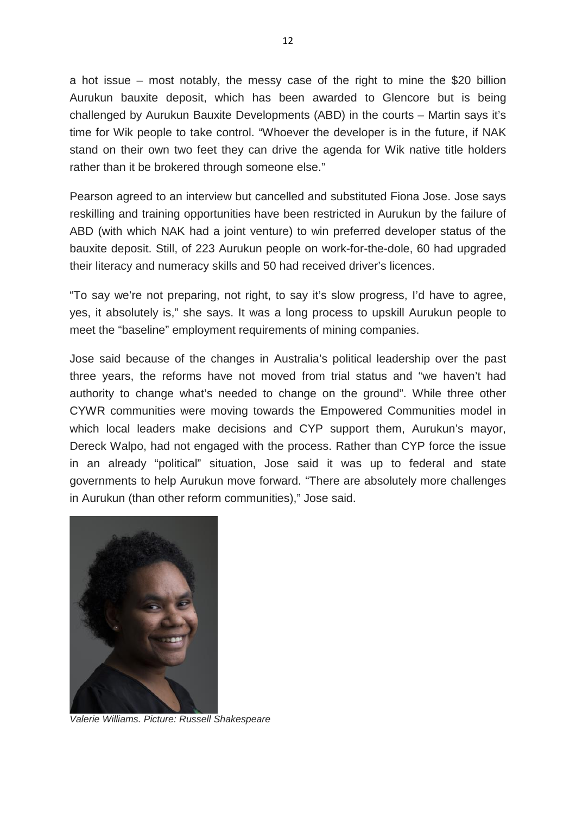a hot issue – most notably, the messy case of the right to mine the \$20 billion Aurukun bauxite deposit, which has been awarded to Glencore but is being challenged by Aurukun Bauxite Developments (ABD) in the courts – Martin says it's time for Wik people to take control. "Whoever the developer is in the future, if NAK stand on their own two feet they can drive the agenda for Wik native title holders rather than it be brokered through someone else."

Pearson agreed to an interview but cancelled and substituted Fiona Jose. Jose says reskilling and training opportunities have been restricted in Aurukun by the failure of ABD (with which NAK had a joint venture) to win preferred developer status of the bauxite deposit. Still, of 223 Aurukun people on work-for-the-dole, 60 had upgraded their literacy and numeracy skills and 50 had received driver's licences.

"To say we're not preparing, not right, to say it's slow progress, I'd have to agree, yes, it absolutely is," she says. It was a long process to upskill Aurukun people to meet the "baseline" employment requirements of mining companies.

Jose said because of the changes in Australia's political leadership over the past three years, the reforms have not moved from trial status and "we haven't had authority to change what's needed to change on the ground". While three other CYWR communities were moving towards the Empowered Communities model in which local leaders make decisions and CYP support them, Aurukun's mayor, Dereck Walpo, had not engaged with the process. Rather than CYP force the issue in an already "political" situation, Jose said it was up to federal and state governments to help Aurukun move forward. "There are absolutely more challenges in Aurukun (than other reform communities)," Jose said.



*Valerie Williams. Picture: Russell Shakespeare*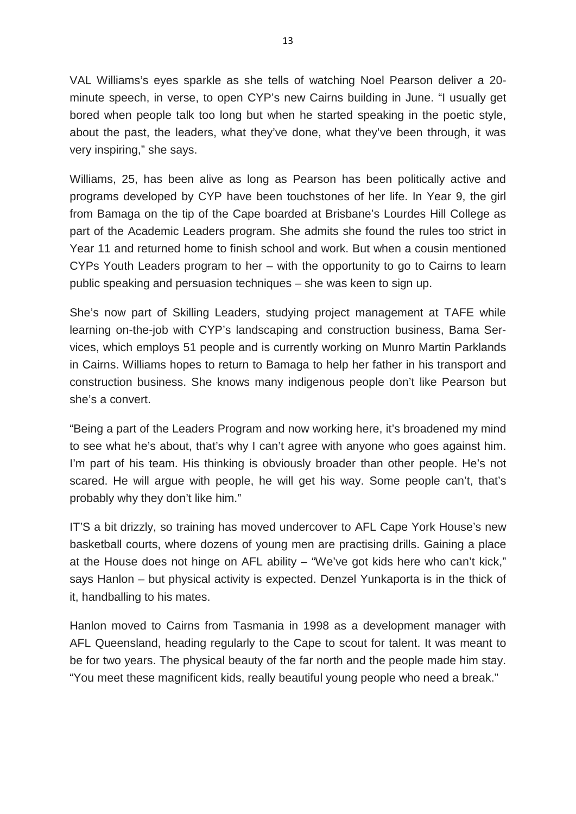VAL Williams's eyes sparkle as she tells of watching Noel Pearson deliver a 20 minute speech, in verse, to open CYP's new Cairns building in June. "I usually get bored when people talk too long but when he started speaking in the poetic style, about the past, the leaders, what they've done, what they've been through, it was very inspiring," she says.

Williams, 25, has been alive as long as Pearson has been politically active and programs developed by CYP have been touchstones of her life. In Year 9, the girl from Bamaga on the tip of the Cape boarded at Brisbane's Lourdes Hill College as part of the Academic Leaders program. She admits she found the rules too strict in Year 11 and returned home to finish school and work. But when a cousin mentioned CYPs Youth Leaders program to her – with the opportunity to go to Cairns to learn public speaking and persuasion techniques – she was keen to sign up.

She's now part of Skilling Leaders, studying project management at TAFE while learning on-the-job with CYP's landscaping and construction business, Bama Services, which employs 51 people and is currently working on Munro Martin Parklands in Cairns. Williams hopes to return to Bamaga to help her father in his transport and construction business. She knows many indigenous people don't like Pearson but she's a convert.

"Being a part of the Leaders Program and now working here, it's broadened my mind to see what he's about, that's why I can't agree with anyone who goes against him. I'm part of his team. His thinking is obviously broader than other people. He's not scared. He will argue with people, he will get his way. Some people can't, that's probably why they don't like him."

IT'S a bit drizzly, so training has moved undercover to AFL Cape York House's new basketball courts, where dozens of young men are practising drills. Gaining a place at the House does not hinge on AFL ability – "We've got kids here who can't kick," says Hanlon – but physical activity is expected. Denzel Yunkaporta is in the thick of it, handballing to his mates.

Hanlon moved to Cairns from Tasmania in 1998 as a development manager with AFL Queensland, heading regularly to the Cape to scout for talent. It was meant to be for two years. The physical beauty of the far north and the people made him stay. "You meet these magnificent kids, really beautiful young people who need a break."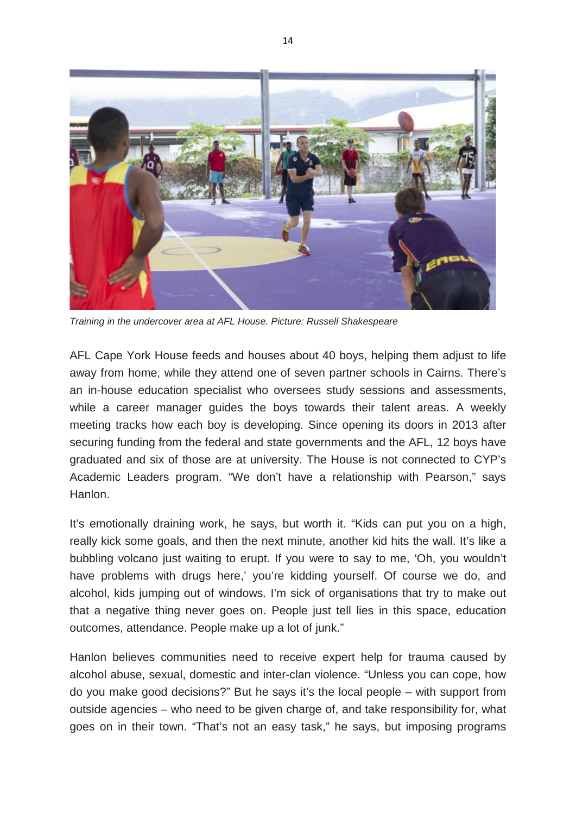

*Training in the undercover area at AFL House. Picture: Russell Shakespeare*

AFL Cape York House feeds and houses about 40 boys, helping them adjust to life away from home, while they attend one of seven partner schools in Cairns. There's an in-house education specialist who oversees study sessions and assessments, while a career manager guides the boys towards their talent areas. A weekly meeting tracks how each boy is developing. Since opening its doors in 2013 after securing funding from the federal and state governments and the AFL, 12 boys have graduated and six of those are at university. The House is not connected to CYP's Academic Leaders program. "We don't have a relationship with Pearson," says Hanlon.

It's emotionally draining work, he says, but worth it. "Kids can put you on a high, really kick some goals, and then the next minute, another kid hits the wall. It's like a bubbling volcano just waiting to erupt. If you were to say to me, 'Oh, you wouldn't have problems with drugs here,' you're kidding yourself. Of course we do, and alcohol, kids jumping out of windows. I'm sick of organisations that try to make out that a negative thing never goes on. People just tell lies in this space, education outcomes, attendance. People make up a lot of junk."

Hanlon believes communities need to receive expert help for trauma caused by alcohol abuse, sexual, domestic and inter-clan violence. "Unless you can cope, how do you make good decisions?" But he says it's the local people – with support from outside agencies – who need to be given charge of, and take responsibility for, what goes on in their town. "That's not an easy task," he says, but imposing programs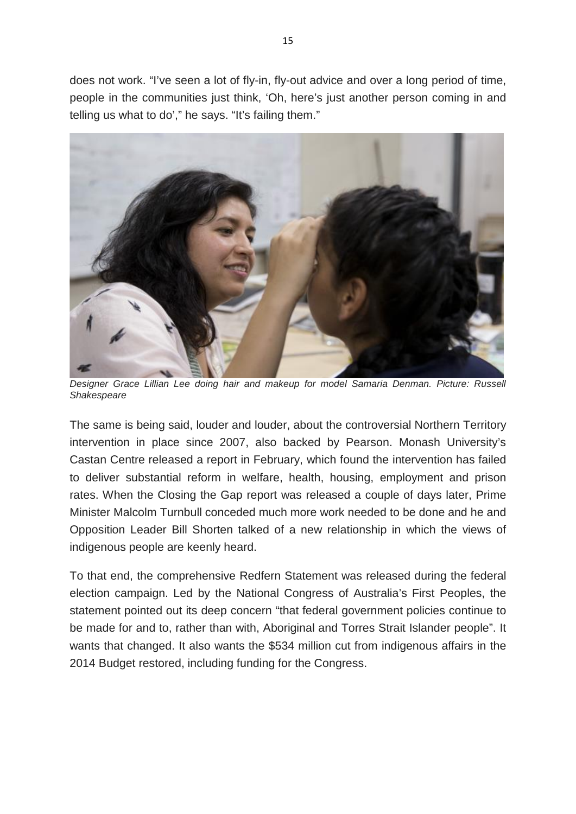does not work. "I've seen a lot of fly-in, fly-out advice and over a long period of time, people in the communities just think, 'Oh, here's just another person coming in and telling us what to do'," he says. "It's failing them."



*Designer Grace Lillian Lee doing hair and makeup for model Samaria Denman. Picture: Russell Shakespeare*

The same is being said, louder and louder, about the controversial Northern Territory intervention in place since 2007, also backed by Pearson. Monash University's Castan Centre released a report in February, which found the intervention has failed to deliver substantial reform in welfare, health, housing, employment and prison rates. When the Closing the Gap report was released a couple of days later, Prime Minister Malcolm Turnbull conceded much more work needed to be done and he and Opposition Leader Bill Shorten talked of a new relationship in which the views of indigenous people are keenly heard.

To that end, the comprehensive Redfern Statement was released during the federal election campaign. Led by the National Congress of Australia's First Peoples, the statement pointed out its deep concern "that federal government policies continue to be made for and to, rather than with, Aboriginal and Torres Strait Islander people". It wants that changed. It also wants the \$534 million cut from indigenous affairs in the 2014 Budget restored, including funding for the Congress.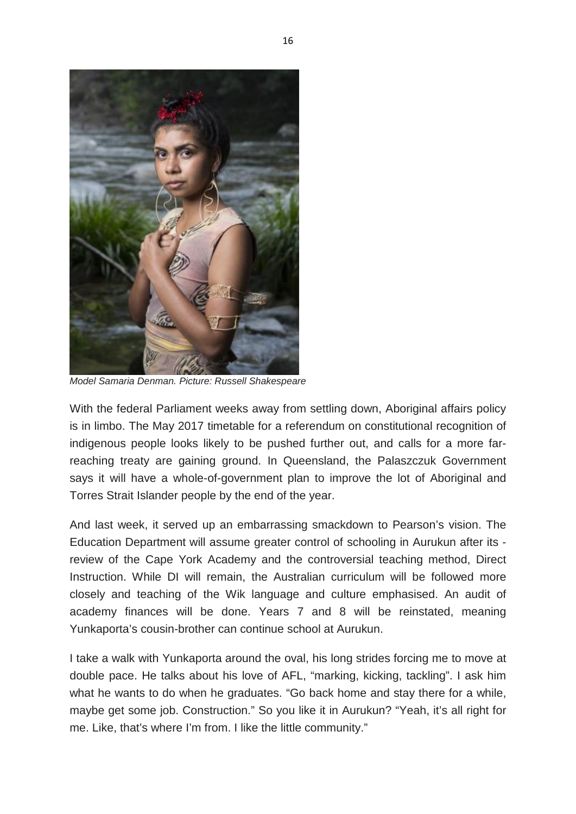

*Model Samaria Denman. Picture: Russell Shakespeare*

With the federal Parliament weeks away from settling down, Aboriginal affairs policy is in limbo. The May 2017 timetable for a referendum on constitutional recognition of indigenous people looks likely to be pushed further out, and calls for a more farreaching treaty are gaining ground. In Queensland, the Palaszczuk Government says it will have a whole-of-government plan to improve the lot of Aboriginal and Torres Strait Islander people by the end of the year.

And last week, it served up an embarrassing smackdown to Pearson's vision. The Education Department will assume greater control of schooling in Aurukun after its review of the Cape York Academy and the controversial teaching method, Direct Instruction. While DI will remain, the Australian curriculum will be followed more closely and teaching of the Wik language and culture emphasised. An audit of academy finances will be done. Years 7 and 8 will be reinstated, meaning Yunkaporta's cousin-brother can continue school at Aurukun.

I take a walk with Yunkaporta around the oval, his long strides forcing me to move at double pace. He talks about his love of AFL, "marking, kicking, tackling". I ask him what he wants to do when he graduates. "Go back home and stay there for a while, maybe get some job. Construction." So you like it in Aurukun? "Yeah, it's all right for me. Like, that's where I'm from. I like the little community."